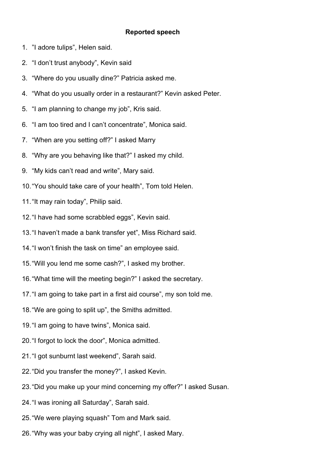## **Reported speech**

- 1. "I adore tulips", Helen said.
- 2. "I don't trust anybody", Kevin said
- 3. "Where do you usually dine?" Patricia asked me.
- 4. "What do you usually order in a restaurant?" Kevin asked Peter.
- 5. "I am planning to change my job", Kris said.
- 6. "I am too tired and I can't concentrate", Monica said.
- 7. "When are you setting off?" I asked Marry
- 8. "Why are you behaving like that?" I asked my child.
- 9. "My kids can't read and write", Mary said.
- 10."You should take care of your health", Tom told Helen.
- 11."It may rain today", Philip said.
- 12."I have had some scrabbled eggs", Kevin said.
- 13."I haven't made a bank transfer yet", Miss Richard said.
- 14."I won't finish the task on time" an employee said.
- 15."Will you lend me some cash?", I asked my brother.
- 16."What time will the meeting begin?" I asked the secretary.
- 17."I am going to take part in a first aid course", my son told me.
- 18."We are going to split up", the Smiths admitted.
- 19."I am going to have twins", Monica said.
- 20."I forgot to lock the door", Monica admitted.
- 21."I got sunburnt last weekend", Sarah said.
- 22."Did you transfer the money?", I asked Kevin.
- 23."Did you make up your mind concerning my offer?" I asked Susan.
- 24."I was ironing all Saturday", Sarah said.
- 25."We were playing squash" Tom and Mark said.
- 26."Why was your baby crying all night", I asked Mary.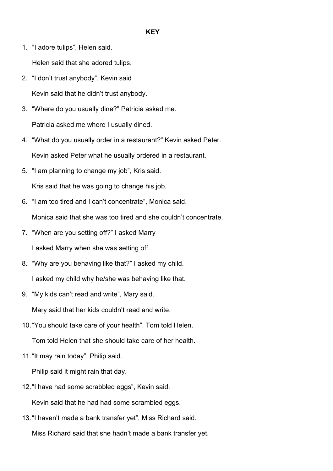1. "I adore tulips", Helen said.

2. "I don't trust anybody", Kevin said Kevin said that he didn't trust anybody.

Helen said that she adored tulips.

- 3. "Where do you usually dine?" Patricia asked me. Patricia asked me where I usually dined.
- 4. "What do you usually order in a restaurant?" Kevin asked Peter. Kevin asked Peter what he usually ordered in a restaurant.
- 5. "I am planning to change my job", Kris said. Kris said that he was going to change his job.
- 6. "I am too tired and I can't concentrate", Monica said.

Monica said that she was too tired and she couldn't concentrate.

- 7. "When are you setting off?" I asked Marry I asked Marry when she was setting off.
- 8. "Why are you behaving like that?" I asked my child. I asked my child why he/she was behaving like that.
- 9. "My kids can't read and write", Mary said.

Mary said that her kids couldn't read and write.

10."You should take care of your health", Tom told Helen.

Tom told Helen that she should take care of her health.

11."It may rain today", Philip said.

Philip said it might rain that day.

12."I have had some scrabbled eggs", Kevin said.

Kevin said that he had had some scrambled eggs.

13."I haven't made a bank transfer yet", Miss Richard said.

Miss Richard said that she hadn't made a bank transfer yet.